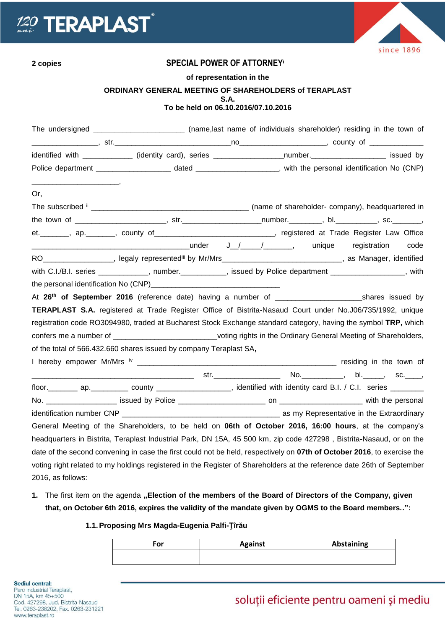



## **2 copies SPECIAL POWER OF ATTORNEY<sup>i</sup>**

**of representation in the**

## **ORDINARY GENERAL MEETING OF SHAREHOLDERS of TERAPLAST**

**S.A.**

## **To be held on 06.10.2016/07.10.2016**

|                   | The undersigned _________________________(name,last name of individuals shareholder) residing in the town of             |  |
|-------------------|--------------------------------------------------------------------------------------------------------------------------|--|
|                   |                                                                                                                          |  |
|                   | identified with _____________ (identity card), series ___________________number.____________________ issued by           |  |
|                   |                                                                                                                          |  |
|                   |                                                                                                                          |  |
| Or,               |                                                                                                                          |  |
|                   |                                                                                                                          |  |
|                   |                                                                                                                          |  |
|                   | et.________, ap._______, county of_____________________________, registered at Trade Register Law Office                 |  |
|                   |                                                                                                                          |  |
|                   | RO___________________, legaly represented <sup>iii</sup> by Mr/Mrs______________________________, as Manager, identified |  |
|                   | with C.I./B.I. series ____________, number.__________, issued by Police department _______________, with                 |  |
|                   |                                                                                                                          |  |
|                   |                                                                                                                          |  |
|                   | <b>TERAPLAST S.A.</b> registered at Trade Register Office of Bistrita-Nasaud Court under No.J06/735/1992, unique         |  |
|                   | registration code RO3094980, traded at Bucharest Stock Exchange standard category, having the symbol TRP, which          |  |
|                   | confers me a number of ______________________________voting rights in the Ordinary General Meeting of Shareholders,      |  |
|                   | of the total of 566.432.660 shares issued by company Teraplast SA,                                                       |  |
|                   |                                                                                                                          |  |
|                   |                                                                                                                          |  |
|                   |                                                                                                                          |  |
|                   |                                                                                                                          |  |
|                   |                                                                                                                          |  |
|                   | General Meeting of the Shareholders, to be held on <b>06th of October 2016, 16:00 hours</b> , at the company's           |  |
|                   | headquarters in Bistrita, Teraplast Industrial Park, DN 15A, 45 500 km, zip code 427298, Bistrita-Nasaud, or on the      |  |
|                   | date of the second convening in case the first could not be held, respectively on 07th of October 2016, to exercise the  |  |
|                   | voting right related to my holdings registered in the Register of Shareholders at the reference date 26th of September   |  |
| 2016, as follows: |                                                                                                                          |  |

1. The first item on the agenda "Election of the members of the Board of Directors of the Company, given **that, on October 6th 2016, expires the validity of the mandate given by OGMS to the Board members..":**

## **1.1.Proposing Mrs Magda-Eugenia Palfi-Ţîrău**

| ™or | <b>Against</b> | <b>Abstaining</b> |
|-----|----------------|-------------------|
|     |                |                   |

# soluții eficiente pentru oameni și mediu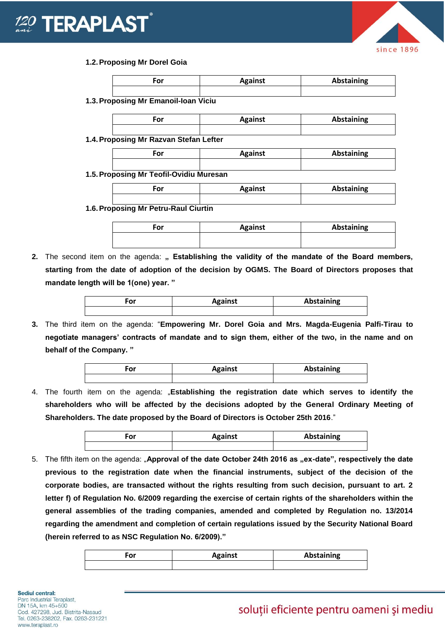



#### **1.2.Proposing Mr Dorel Goia**

| For                                     | <b>Against</b> | <b>Abstaining</b> |
|-----------------------------------------|----------------|-------------------|
| 1.3. Proposing Mr Emanoil-Ioan Viciu    |                |                   |
| For                                     | <b>Against</b> | <b>Abstaining</b> |
| 1.4. Proposing Mr Razvan Stefan Lefter  |                |                   |
| For                                     | <b>Against</b> | <b>Abstaining</b> |
| 1.5. Proposing Mr Teofil-Ovidiu Muresan |                |                   |
| For                                     | <b>Against</b> | <b>Abstaining</b> |

**1.6.Proposing Mr Petru-Raul Ciurtin**

| For | <b>Against</b> | Abstaining |
|-----|----------------|------------|
|     |                |            |

2. The second item on the agenda: " Establishing the validity of the mandate of the Board members, **starting from the date of adoption of the decision by OGMS. The Board of Directors proposes that mandate length will be 1(one) year. "**

| ۰or | <b>Against</b> | <b>Abstaining</b> |
|-----|----------------|-------------------|
|     |                |                   |

**3.** The third item on the agenda: "**Empowering Mr. Dorel Goia and Mrs. Magda-Eugenia Palfi-Tirau to negotiate managers' contracts of mandate and to sign them, either of the two, in the name and on behalf of the Company. "**

| For | <b>Against</b> | <b>Abstaining</b> |
|-----|----------------|-------------------|
|     |                |                   |

4. The fourth item on the agenda: "**Establishing the registration date which serves to identify the shareholders who will be affected by the decisions adopted by the General Ordinary Meeting of Shareholders. The date proposed by the Board of Directors is October 25th 2016**."

| For | <b>Against</b> | <b>Abstaining</b> |
|-----|----------------|-------------------|
|     |                |                   |

5. The fifth item on the agenda: "**Approval of the date October 24th 2016 as "ex-date", respectively the date previous to the registration date when the financial instruments, subject of the decision of the corporate bodies, are transacted without the rights resulting from such decision, pursuant to art. 2 letter f) of Regulation No. 6/2009 regarding the exercise of certain rights of the shareholders within the general assemblies of the trading companies, amended and completed by Regulation no. 13/2014 regarding the amendment and completion of certain regulations issued by the Security National Board (herein referred to as NSC Regulation No. 6/2009)."**

| σr | <b>Against</b> | Abstaining |
|----|----------------|------------|
|    |                |            |